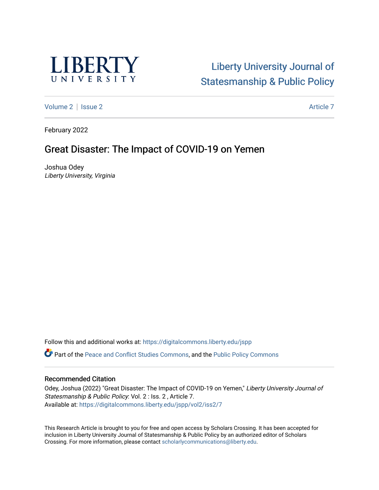

# [Liberty University Journal of](https://digitalcommons.liberty.edu/jspp)  [Statesmanship & Public Policy](https://digitalcommons.liberty.edu/jspp)

[Volume 2](https://digitalcommons.liberty.edu/jspp/vol2) | [Issue 2](https://digitalcommons.liberty.edu/jspp/vol2/iss2) Article 7

February 2022

## Great Disaster: The Impact of COVID-19 on Yemen

Joshua Odey Liberty University, Virginia

Follow this and additional works at: [https://digitalcommons.liberty.edu/jspp](https://digitalcommons.liberty.edu/jspp?utm_source=digitalcommons.liberty.edu%2Fjspp%2Fvol2%2Fiss2%2F7&utm_medium=PDF&utm_campaign=PDFCoverPages) 

Part of the [Peace and Conflict Studies Commons,](http://network.bepress.com/hgg/discipline/397?utm_source=digitalcommons.liberty.edu%2Fjspp%2Fvol2%2Fiss2%2F7&utm_medium=PDF&utm_campaign=PDFCoverPages) and the [Public Policy Commons](http://network.bepress.com/hgg/discipline/400?utm_source=digitalcommons.liberty.edu%2Fjspp%2Fvol2%2Fiss2%2F7&utm_medium=PDF&utm_campaign=PDFCoverPages)

### Recommended Citation

Odey, Joshua (2022) "Great Disaster: The Impact of COVID-19 on Yemen," Liberty University Journal of Statesmanship & Public Policy: Vol. 2 : Iss. 2 , Article 7. Available at: [https://digitalcommons.liberty.edu/jspp/vol2/iss2/7](https://digitalcommons.liberty.edu/jspp/vol2/iss2/7?utm_source=digitalcommons.liberty.edu%2Fjspp%2Fvol2%2Fiss2%2F7&utm_medium=PDF&utm_campaign=PDFCoverPages) 

This Research Article is brought to you for free and open access by Scholars Crossing. It has been accepted for inclusion in Liberty University Journal of Statesmanship & Public Policy by an authorized editor of Scholars Crossing. For more information, please contact [scholarlycommunications@liberty.edu](mailto:scholarlycommunications@liberty.edu).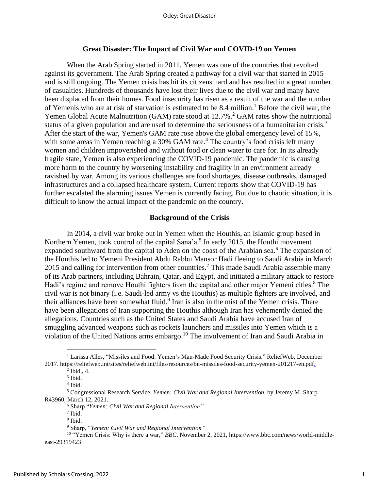#### **Great Disaster: The Impact of Civil War and COVID-19 on Yemen**

When the Arab Spring started in 2011, Yemen was one of the countries that revolted against its government. The Arab Spring created a pathway for a civil war that started in 2015 and is still ongoing. The Yemen crisis has hit its citizens hard and has resulted in a great number of casualties. Hundreds of thousands have lost their lives due to the civil war and many have been displaced from their homes. Food insecurity has risen as a result of the war and the number of Yemenis who are at risk of starvation is estimated to be 8.4 million. <sup>1</sup> Before the civil war, the Yemen Global Acute Malnutrition (GAM) rate stood at 12.7%.<sup>2</sup> GAM rates show the nutritional status of a given population and are used to determine the seriousness of a humanitarian crisis.<sup>3</sup> After the start of the war, Yemen's GAM rate rose above the global emergency level of 15%, with some areas in Yemen reaching a  $30\%$  GAM rate.<sup>4</sup> The country's food crisis left many women and children impoverished and without food or clean water to care for. In its already fragile state, Yemen is also experiencing the COVID-19 pandemic. The pandemic is causing more harm to the country by worsening instability and fragility in an environment already ravished by war. Among its various challenges are food shortages, disease outbreaks, damaged infrastructures and a collapsed healthcare system. Current reports show that COVID-19 has further escalated the alarming issues Yemen is currently facing. But due to chaotic situation, it is difficult to know the actual impact of the pandemic on the country.

#### **Background of the Crisis**

In 2014, a civil war broke out in Yemen when the Houthis, an Islamic group based in Northern Yemen, took control of the capital Sana'a.<sup>5</sup> In early 2015, the Houthi movement expanded southward from the capital to Aden on the coast of the Arabian sea.<sup>6</sup> The expansion of the Houthis led to Yemeni President Abdu Rabbu Mansor Hadi fleeing to Saudi Arabia in March 2015 and calling for intervention from other countries.<sup>7</sup> This made Saudi Arabia assemble many of its Arab partners, including Bahrain, Qatar, and Egypt, and initiated a military attack to restore Hadi's regime and remove Houthi fighters from the capital and other major Yemeni cities.<sup>8</sup> The civil war is not binary (i.e. Saudi-led army vs the Houthis) as multiple fighters are involved, and their alliances have been somewhat fluid.<sup>9</sup> Iran is also in the mist of the Yemen crisis. There have been allegations of Iran supporting the Houthis although Iran has vehemently denied the allegations. Countries such as the United States and Saudi Arabia have accused Iran of smuggling advanced weapons such as rockets launchers and missiles into Yemen which is a violation of the United Nations arms embargo. <sup>10</sup> The involvement of Iran and Saudi Arabia in

<sup>&</sup>lt;sup>1</sup> Larissa Alles, "Missiles and Food: Yemen's Man-Made Food Security Crisis." ReliefWeb, December 2017. https://reliefweb.int/sites/reliefweb.int/files/resources/bn-missiles-food-security-yemen-201217-en.pdf.

 $<sup>2</sup>$  Ibid., 4.</sup>

<sup>3</sup> Ibid.

<sup>4</sup> Ibid.

<sup>5</sup> Congressional Research Service, *Yemen: Civil War and Regional Intervention*, by Jeremy M. Sharp. R43960, March 12, 2021.

<sup>6</sup> Sharp "*Yemen: Civil War and Regional Intervention"*

<sup>7</sup> Ibid.

<sup>8</sup> Ibid.

<sup>9</sup> Sharp, "*Yemen: Civil War and Regional Intervention"*

<sup>&</sup>lt;sup>10</sup> "Yemen Crisis: Why is there a war," *BBC*, November 2, 2021, https://www.bbc.com/news/world-middleeast-29319423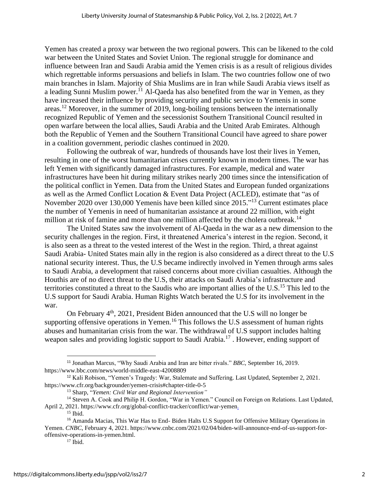Yemen has created a proxy war between the two regional powers. This can be likened to the cold war between the United States and Soviet Union. The regional struggle for dominance and influence between Iran and Saudi Arabia amid the Yemen crisis is as a result of religious divides which regrettable informs persuasions and beliefs in Islam. The two countries follow one of two main branches in Islam. Majority of Shia Muslims are in Iran while Saudi Arabia views itself as a leading Sunni Muslim power.<sup>11</sup> Al-Qaeda has also benefited from the war in Yemen, as they have increased their influence by providing security and public service to Yemenis in some areas.<sup>12</sup> Moreover, in the summer of 2019, long-boiling tensions between the internationally recognized Republic of Yemen and the secessionist Southern Transitional Council resulted in open warfare between the local allies, Saudi Arabia and the United Arab Emirates. Although both the Republic of Yemen and the Southern Transitional Council have agreed to share power in a coalition government, periodic clashes continued in 2020.

Following the outbreak of war, hundreds of thousands have lost their lives in Yemen, resulting in one of the worst humanitarian crises currently known in modern times. The war has left Yemen with significantly damaged infrastructures. For example, medical and water infrastructures have been hit during military strikes nearly 200 times since the intensification of the political conflict in Yemen. Data from the United States and European funded organizations as well as the Armed Conflict Location & Event Data Project (ACLED), estimate that "as of November 2020 over 130,000 Yemenis have been killed since 2015."<sup>13</sup> Current estimates place the number of Yemenis in need of humanitarian assistance at around 22 million, with eight million at risk of famine and more than one million affected by the cholera outbreak.<sup>14</sup>

The United States saw the involvement of Al-Qaeda in the war as a new dimension to the security challenges in the region. First, it threatened America's interest in the region. Second, it is also seen as a threat to the vested interest of the West in the region. Third, a threat against Saudi Arabia- United States main ally in the region is also considered as a direct threat to the U.S national security interest. Thus, the U.S became indirectly involved in Yemen through arms sales to Saudi Arabia, a development that raised concerns about more civilian casualties. Although the Houthis are of no direct threat to the U.S, their attacks on Saudi Arabia's infrastructure and territories constituted a threat to the Saudis who are important allies of the U.S.<sup>15</sup> This led to the U.S support for Saudi Arabia. Human Rights Watch berated the U.S for its involvement in the war.

On February 4<sup>th</sup>, 2021, President Biden announced that the U.S will no longer be supporting offensive operations in Yemen.<sup>16</sup> This follows the U.S assessment of human rights abuses and humanitarian crisis from the war. The withdrawal of U.S support includes halting weapon sales and providing logistic support to Saudi Arabia.<sup>17</sup> . However, ending support of

<sup>11</sup> Jonathan Marcus, "Why Saudi Arabia and Iran are bitter rivals." *BBC*, September 16, 2019. https://www.bbc.com/news/world-middle-east-42008809

<sup>12</sup> Kali Robison, "Yemen's Tragedy: War, Stalemate and Suffering. Last Updated, September 2, 2021. https://www.cfr.org/backgrounder/yemen-crisis#chapter-title-0-5

<sup>13</sup> Sharp, "*Yemen: Civil War and Regional Intervention"*

<sup>&</sup>lt;sup>14</sup> Steven A. Cook and Philip H. Gordon, "War in Yemen." Council on Foreign on Relations. Last Updated, April 2, 2021. https://www.cfr.org/global-conflict-tracker/conflict/war-yemen.

 $15$  Ibid.

<sup>&</sup>lt;sup>16</sup> Amanda Macias, This War Has to End- Biden Halts U.S Support for Offensive Military Operations in Yemen. *CNBC*, February 4, 2021. https://www.cnbc.com/2021/02/04/biden-will-announce-end-of-us-support-foroffensive-operations-in-yemen.html.

 $17$  Ibid.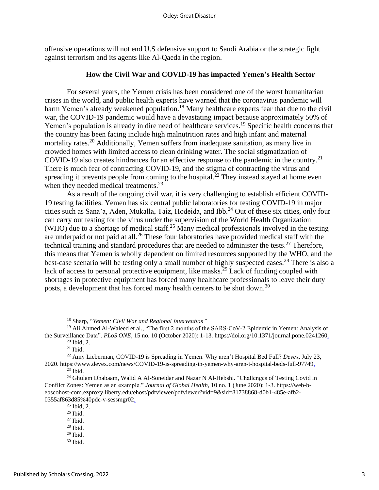offensive operations will not end U.S defensive support to Saudi Arabia or the strategic fight against terrorism and its agents like Al-Qaeda in the region.

## **How the Civil War and COVID-19 has impacted Yemen's Health Sector**

For several years, the Yemen crisis has been considered one of the worst humanitarian crises in the world, and public health experts have warned that the coronavirus pandemic will harm Yemen's already weakened population.<sup>18</sup> Many healthcare experts fear that due to the civil war, the COVID-19 pandemic would have a devastating impact because approximately 50% of Yemen's population is already in dire need of healthcare services.<sup>19</sup> Specific health concerns that the country has been facing include high malnutrition rates and high infant and maternal mortality rates.<sup>20</sup> Additionally, Yemen suffers from inadequate sanitation, as many live in crowded homes with limited access to clean drinking water. The social stigmatization of COVID-19 also creates hindrances for an effective response to the pandemic in the country. 21 There is much fear of contracting COVID-19, and the stigma of contracting the virus and spreading it prevents people from coming to the hospital.<sup>22</sup> They instead stayed at home even when they needed medical treatments.<sup>23</sup>

As a result of the ongoing civil war, it is very challenging to establish efficient COVID-19 testing facilities. Yemen has six central public laboratories for testing COVID-19 in major cities such as Sana'a, Aden, Mukalla, Taiz, Hodeida, and Ibb. <sup>24</sup> Out of these six cities, only four can carry out testing for the virus under the supervision of the World Health Organization (WHO) due to a shortage of medical staff.<sup>25</sup> Many medical professionals involved in the testing are underpaid or not paid at all.<sup>26</sup> These four laboratories have provided medical staff with the technical training and standard procedures that are needed to administer the tests.<sup>27</sup> Therefore, this means that Yemen is wholly dependent on limited resources supported by the WHO, and the best-case scenario will be testing only a small number of highly suspected cases.<sup>28</sup> There is also a lack of access to personal protective equipment, like masks.<sup>29</sup> Lack of funding coupled with shortages in protective equipment has forced many healthcare professionals to leave their duty posts, a development that has forced many health centers to be shut down.<sup>30</sup>

<sup>18</sup> Sharp, "*Yemen: Civil War and Regional Intervention"*

<sup>&</sup>lt;sup>19</sup> Ali Ahmed Al-Waleed et al., "The first 2 months of the SARS-CoV-2 Epidemic in Yemen: Analysis of the Surveillance Data". *PLoS ONE*, 15 no. 10 (October 2020): 1-13. https://doi.org/10.1371/journal.pone.0241260. <sup>20</sup> Ibid, 2.

 $21$  Ibid.

<sup>22</sup> Amy Lieberman, COVID-19 is Spreading in Yemen. Why aren't Hospital Bed Full? *Devex,* July 23, 2020. https://www.devex.com/news/COVID-19-is-spreading-in-yemen-why-aren-t-hospital-beds-full-97749.

 $23$  Ibid.

<sup>&</sup>lt;sup>24</sup> Ghulam Dhabaam, Walid A Al-Soneidar and Nazar N Al-Hebshi. "Challenges of Testing Covid in Conflict Zones: Yemen as an example." *Journal of Global Health*, 10 no. 1 (June 2020): 1-3. https://web-bebscohost-com.ezproxy.liberty.edu/ehost/pdfviewer/pdfviewer?vid=9&sid=81738868-d0b1-485e-afb2- 0355af863d85%40pdc-v-sessmgr02.

<sup>25</sup> Ibid, 2.

 $26$  Ibid.

<sup>27</sup> Ibid.

<sup>28</sup> Ibid.  $29$  Ibid.

<sup>30</sup> Ibid.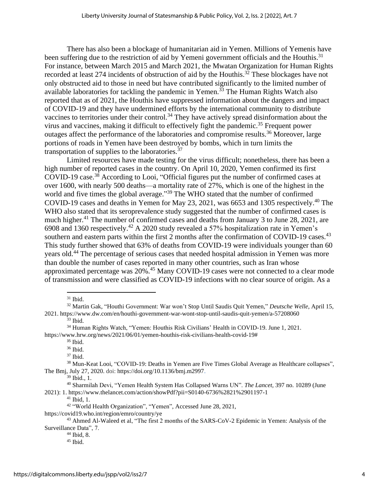There has also been a blockage of humanitarian aid in Yemen. Millions of Yemenis have been suffering due to the restriction of aid by Yemeni government officials and the Houthis.<sup>31</sup> For instance, between March 2015 and March 2021, the Mwatan Organization for Human Rights recorded at least 274 incidents of obstruction of aid by the Houthis.<sup>32</sup> These blockages have not only obstructed aid to those in need but have contributed significantly to the limited number of available laboratories for tackling the pandemic in Yemen. <sup>33</sup> The Human Rights Watch also reported that as of 2021, the Houthis have suppressed information about the dangers and impact of COVID-19 and they have undermined efforts by the international community to distribute vaccines to territories under their control.<sup>34</sup> They have actively spread disinformation about the virus and vaccines, making it difficult to effectively fight the pandemic. <sup>35</sup> Frequent power outages affect the performance of the laboratories and compromise results.<sup>36</sup> Moreover, large portions of roads in Yemen have been destroyed by bombs, which in turn limits the transportation of supplies to the laboratories.<sup>37</sup>

Limited resources have made testing for the virus difficult; nonetheless, there has been a high number of reported cases in the country. On April 10, 2020, Yemen confirmed its first COVID-19 case.<sup>38</sup> According to Looi, "Official figures put the number of confirmed cases at over 1600, with nearly 500 deaths—a mortality rate of 27%, which is one of the highest in the world and five times the global average."<sup>39</sup> The WHO stated that the number of confirmed COVID-19 cases and deaths in Yemen for May 23, 2021, was 6653 and 1305 respectively. <sup>40</sup> The WHO also stated that its seroprevalence study suggested that the number of confirmed cases is much higher.<sup>41</sup> The number of confirmed cases and deaths from January 3 to June 28, 2021, are 6908 and 1360 respectively.<sup>42</sup> A 2020 study revealed a 57% hospitalization rate in Yemen's southern and eastern parts within the first 2 months after the confirmation of COVID-19 cases.<sup>43</sup> This study further showed that 63% of deaths from COVID-19 were individuals younger than 60 years old.<sup>44</sup> The percentage of serious cases that needed hospital admission in Yemen was more than double the number of cases reported in many other countries, such as Iran whose approximated percentage was 20%.<sup>45</sup> Many COVID-19 cases were not connected to a clear mode of transmission and were classified as COVID-19 infections with no clear source of origin. As a

<sup>31</sup> Ibid.

 $33$  Ibid.

 $35$  Ibid.

<sup>36</sup> Ibid.

<sup>37</sup> Ibid.

<sup>38</sup> Mun-Keat Looi, "COVID-19: Deaths in Yemen are Five Times Global Average as Healthcare collapses", The Bmj, July 27, 2020. doi: https://doi.org/10.1136/bmj.m2997.

<sup>39</sup> Ibid., 1.

<sup>40</sup> Sharmilah Devi, "Yemen Health System Has Collapsed Warns UN". *The Lancet,* 397 no. 10289 (June 2021): 1. https://www.thelancet.com/action/showPdf?pii=S0140-6736%2821%2901197-1

<sup>41</sup> Ibid, 1.

<sup>42</sup> "World Health Organization", "Yemen", Accessed June 28, 2021,

https://covid19.who.int/region/emro/country/ye

<sup>44</sup> Ibid, 8.

<sup>32</sup> Martin Gak, "Houthi Government: War won't Stop Until Saudis Quit Yemen," *Deutsche Welle*, April 15, 2021. https://www.dw.com/en/houthi-government-war-wont-stop-until-saudis-quit-yemen/a-57208060

<sup>34</sup> Human Rights Watch, "Yemen: Houthis Risk Civilians' Health in COVID-19. June 1, 2021. https://www.hrw.org/news/2021/06/01/yemen-houthis-risk-civilians-health-covid-19#

<sup>&</sup>lt;sup>43</sup> Ahmed Al-Waleed et al, "The first 2 months of the SARS-CoV-2 Epidemic in Yemen: Analysis of the Surveillance Data", 7.

<sup>45</sup> Ibid.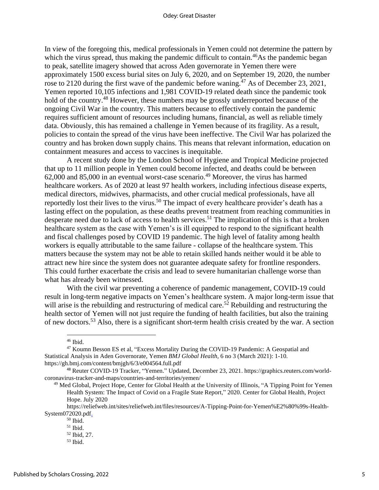In view of the foregoing this, medical professionals in Yemen could not determine the pattern by which the virus spread, thus making the pandemic difficult to contain.<sup>46</sup>As the pandemic began to peak, satellite imagery showed that across Aden governorate in Yemen there were approximately 1500 excess burial sites on July 6, 2020, and on September 19, 2020, the number rose to 2120 during the first wave of the pandemic before waning.<sup>47</sup> As of December 23, 2021, Yemen reported 10,105 infections and 1,981 COVID-19 related death since the pandemic took hold of the country.<sup>48</sup> However, these numbers may be grossly underreported because of the ongoing Civil War in the country. This matters because to effectively contain the pandemic requires sufficient amount of resources including humans, financial, as well as reliable timely data. Obviously, this has remained a challenge in Yemen because of its fragility. As a result, policies to contain the spread of the virus have been ineffective. The Civil War has polarized the country and has broken down supply chains. This means that relevant information, education on containment measures and access to vaccines is inequitable.

A recent study done by the London School of Hygiene and Tropical Medicine projected that up to 11 million people in Yemen could become infected, and deaths could be between  $62,000$  and  $85,000$  in an eventual worst-case scenario.<sup>49</sup> Moreover, the virus has harmed healthcare workers. As of 2020 at least 97 health workers, including infectious disease experts, medical directors, midwives, pharmacists, and other crucial medical professionals, have all reportedly lost their lives to the virus.<sup>50</sup> The impact of every healthcare provider's death has a lasting effect on the population, as these deaths prevent treatment from reaching communities in desperate need due to lack of access to health services.<sup>51</sup> The implication of this is that a broken healthcare system as the case with Yemen's is ill equipped to respond to the significant health and fiscal challenges posed by COVID 19 pandemic. The high level of fatality among health workers is equally attributable to the same failure - collapse of the healthcare system. This matters because the system may not be able to retain skilled hands neither would it be able to attract new hire since the system does not guarantee adequate safety for frontline responders. This could further exacerbate the crisis and lead to severe humanitarian challenge worse than what has already been witnessed.

With the civil war preventing a coherence of pandemic management, COVID-19 could result in long-term negative impacts on Yemen's healthcare system. A major long-term issue that will arise is the rebuilding and restructuring of medical care.<sup>52</sup> Rebuilding and restructuring the health sector of Yemen will not just require the funding of health facilities, but also the training of new doctors.<sup>53</sup> Also, there is a significant short-term health crisis created by the war. A section

<sup>46</sup> Ibid.

<sup>47</sup> Koumn Besson ES et al, "Excess Mortality During the COVID-19 Pandemic: A Geospatial and Statistical Analysis in Aden Governorate, Yemen *BMJ Global Health,* 6 no 3 (March 2021): 1-10. https://gh.bmj.com/content/bmjgh/6/3/e004564.full.pdf

<sup>48</sup> Reuter COVID-19 Tracker, "Yemen." Updated, December 23, 2021. https://graphics.reuters.com/worldcoronavirus-tracker-and-maps/countries-and-territories/yemen/

<sup>49</sup> Med Global, Project Hope, Center for Global Health at the University of Illinois, "A Tipping Point for Yemen Health System: The Impact of Covid on a Fragile State Report," 2020. Center for Global Health, Project Hope. July 2020

https://reliefweb.int/sites/reliefweb.int/files/resources/A-Tipping-Point-for-Yemen%E2%80%99s-Health-System072020.pdf.

 $50$  Ibid.

 $^{\rm 51}$  Ibid.

<sup>52</sup> Ibid, 27.

 $53$  Ibid.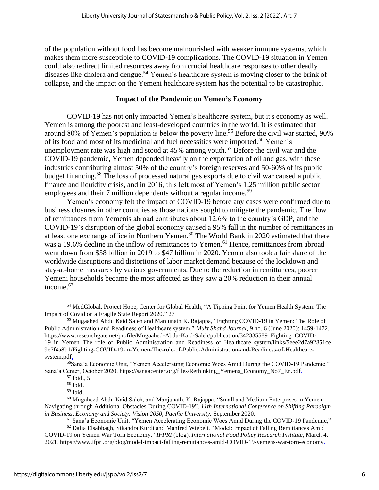of the population without food has become malnourished with weaker immune systems, which makes them more susceptible to COVID-19 complications. The COVID-19 situation in Yemen could also redirect limited resources away from crucial healthcare responses to other deadly diseases like cholera and dengue.<sup>54</sup> Yemen's healthcare system is moving closer to the brink of collapse, and the impact on the Yemeni healthcare system has the potential to be catastrophic.

## **Impact of the Pandemic on Yemen's Economy**

COVID-19 has not only impacted Yemen's healthcare system, but it's economy as well. Yemen is among the poorest and least-developed countries in the world. It is estimated that around 80% of Yemen's population is below the poverty line.<sup>55</sup> Before the civil war started, 90% of its food and most of its medicinal and fuel necessities were imported.<sup>56</sup> Yemen's unemployment rate was high and stood at  $45\%$  among youth.<sup>57</sup> Before the civil war and the COVID-19 pandemic, Yemen depended heavily on the exportation of oil and gas, with these industries contributing almost 50% of the country's foreign reserves and 50-60% of its public budget financing.<sup>58</sup> The loss of processed natural gas exports due to civil war caused a public finance and liquidity crisis, and in 2016, this left most of Yemen's 1.25 million public sector employees and their 7 million dependents without a regular income.<sup>59</sup>

Yemen's economy felt the impact of COVID-19 before any cases were confirmed due to business closures in other countries as those nations sought to mitigate the pandemic. The flow of remittances from Yemenis abroad contributes about 12.6% to the country's GDP, and the COVID-19's disruption of the global economy caused a 95% fall in the number of remittances in at least one exchange office in Northern Yemen.<sup>60</sup> The World Bank in 2020 estimated that there was a 19.6% decline in the inflow of remittances to Yemen. <sup>61</sup> Hence, remittances from abroad went down from \$58 billion in 2019 to \$47 billion in 2020. Yemen also took a fair share of the worldwide disruptions and distortions of labor market demand because of the lockdown and stay-at-home measures by various governments. Due to the reduction in remittances, poorer Yemeni households became the most affected as they saw a 20% reduction in their annual income. 62

<sup>56</sup>Sana'a Economic Unit, "Yemen Accelerating Economic Woes Amid During the COVID-19 Pandemic." Sana'a Center, October 2020. https://sanaacenter.org/files/Rethinking\_Yemens\_Economy\_No7\_En.pdf.

<sup>54</sup> MedGlobal, Project Hope, Center for Global Health, "A Tipping Point for Yemen Health System: The Impact of Covid on a Fragile State Report 2020." 27

<sup>55</sup> Mugaahed Abdu Kaid Saleh and Manjunath K. Rajappa, "Fighting COVID-19 in Yemen: The Role of Public Administration and Readiness of Healthcare system." *Mukt Shabd Journal,* 9 no. 6 (June 2020): 1459-1472. https://www.researchgate.net/profile/Mugaahed-Abdu-Kaid-Saleh/publication/342335589\_Fighting\_COVID-19\_in\_Yemen\_The\_role\_of\_Public\_Administration\_and\_Readiness\_of\_Healthcare\_system/links/5eee2d7a92851ce 9e7f4a8b1/Fighting-COVID-19-in-Yemen-The-role-of-Public-Administration-and-Readiness-of-Healthcaresystem.pdf.

<sup>57</sup> Ibid., 5.

<sup>58</sup> Ibid.

<sup>59</sup> Ibid.

 $60$  Mugaheed Abdu Kaid Saleh, and Manjunath, K. Rajappa, "Small and Medium Enterprises in Yemen: Navigating through Additional Obstacles During COVID-19", *11th International Conference on Shifting Paradigm in Business, Economy and Society: Vision 2050, Pacific University.* September 2020.

<sup>61</sup> Sana'a Economic Unit, "Yemen Accelerating Economic Woes Amid During the COVID-19 Pandemic,"

 $62$  Dalia Elsabbagh, Sikandra Kurdi and Manfred Wiebelt. "Model: Impact of Falling Remittances Amid COVID-19 on Yemen War Torn Economy." *IFPRI* (blog). *International Food Policy Research Institute*, March 4, 2021. https://www.ifpri.org/blog/model-impact-falling-remittances-amid-COVID-19-yemens-war-torn-economy.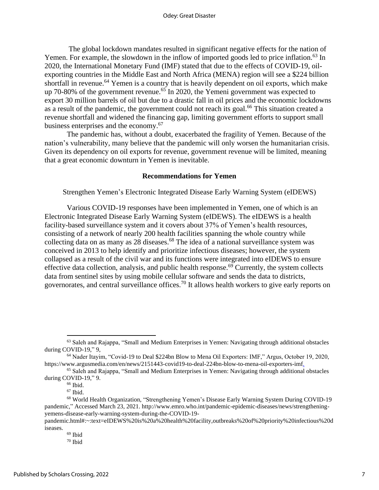The global lockdown mandates resulted in significant negative effects for the nation of Yemen. For example, the slowdown in the inflow of imported goods led to price inflation.<sup>63</sup> In 2020, the International Monetary Fund (IMF) stated that due to the effects of COVID-19, oilexporting countries in the Middle East and North Africa (MENA) region will see a \$224 billion shortfall in revenue.<sup>64</sup> Yemen is a country that is heavily dependent on oil exports, which make up 70-80% of the government revenue.<sup>65</sup> In 2020, the Yemeni government was expected to export 30 million barrels of oil but due to a drastic fall in oil prices and the economic lockdowns as a result of the pandemic, the government could not reach its goal.<sup>66</sup> This situation created a revenue shortfall and widened the financing gap, limiting government efforts to support small business enterprises and the economy. 67

The pandemic has, without a doubt, exacerbated the fragility of Yemen. Because of the nation's vulnerability, many believe that the pandemic will only worsen the humanitarian crisis. Given its dependency on oil exports for revenue, government revenue will be limited, meaning that a great economic downturn in Yemen is inevitable.

#### **Recommendations for Yemen**

Strengthen Yemen's Electronic Integrated Disease Early Warning System (eIDEWS)

Various COVID-19 responses have been implemented in Yemen, one of which is an Electronic Integrated Disease Early Warning System (eIDEWS). The eIDEWS is a health facility-based surveillance system and it covers about 37% of Yemen's health resources, consisting of a network of nearly 200 health facilities spanning the whole country while collecting data on as many as 28 diseases.<sup>68</sup> The idea of a national surveillance system was conceived in 2013 to help identify and prioritize infectious diseases; however, the system collapsed as a result of the civil war and its functions were integrated into eIDEWS to ensure effective data collection, analysis, and public health response.<sup> $69$ </sup> Currently, the system collects data from sentinel sites by using mobile cellular software and sends the data to districts, governorates, and central surveillance offices.<sup>70</sup> It allows health workers to give early reports on

<sup>63</sup> Saleh and Rajappa, "Small and Medium Enterprises in Yemen: Navigating through additional obstacles during COVID-19," 9,

<sup>64</sup> Nader Itayim, "Covid-19 to Deal \$224bn Blow to Mena Oil Exporters: IMF," Argus, October 19, 2020, https://www.argusmedia.com/en/news/2151443-covid19-to-deal-224bn-blow-to-mena-oil-exporters-imf.

<sup>65</sup> Saleh and Rajappa, "Small and Medium Enterprises in Yemen: Navigating through additional obstacles during COVID-19," 9.

<sup>&</sup>lt;sup>66</sup> Ibid.

<sup>67</sup> Ibid.

<sup>68</sup> World Health Organization, "Strengthening Yemen's Disease Early Warning System During COVID-19 pandemic*,*" Accessed March 23, 2021. http://www.emro.who.int/pandemic-epidemic-diseases/news/strengtheningyemens-disease-early-warning-system-during-the-COVID-19-

pandemic.html#:~:text=eIDEWS%20is%20a%20health%20facility,outbreaks%20of%20priority%20infectious%20d iseases.

<sup>69</sup> Ibid

 $70$  Ibid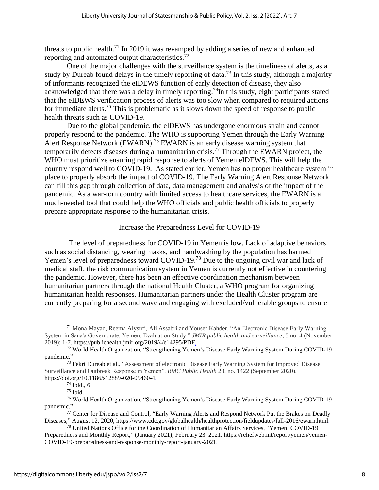threats to public health.<sup>71</sup> In 2019 it was revamped by adding a series of new and enhanced reporting and automated output characteristics.<sup>72</sup>

One of the major challenges with the surveillance system is the timeliness of alerts, as a study by Dureab found delays in the timely reporting of data.<sup>73</sup> In this study, although a majority of informants recognized the eIDEWS function of early detection of disease, they also acknowledged that there was a delay in timely reporting.<sup>74</sup>In this study, eight participants stated that the eIDEWS verification process of alerts was too slow when compared to required actions for immediate alerts.<sup>75</sup> This is problematic as it slows down the speed of response to public health threats such as COVID-19.

Due to the global pandemic, the eIDEWS has undergone enormous strain and cannot properly respond to the pandemic. The WHO is supporting Yemen through the Early Warning Alert Response Network (EWARN).<sup>76</sup> EWARN is an early disease warning system that temporarily detects diseases during a humanitarian crisis.<sup>77</sup> Through the EWARN project, the WHO must prioritize ensuring rapid response to alerts of Yemen eIDEWS. This will help the country respond well to COVID-19. As stated earlier, Yemen has no proper healthcare system in place to properly absorb the impact of COVID-19. The Early Warning Alert Response Network can fill this gap through collection of data, data management and analysis of the impact of the pandemic. As a war-torn country with limited access to healthcare services, the EWARN is a much-needed tool that could help the WHO officials and public health officials to properly prepare appropriate response to the humanitarian crisis.

## Increase the Preparedness Level for COVID-19

The level of preparedness for COVID-19 in Yemen is low. Lack of adaptive behaviors such as social distancing, wearing masks, and handwashing by the population has harmed Yemen's level of preparedness toward COVID-19.<sup>78</sup> Due to the ongoing civil war and lack of medical staff, the risk communication system in Yemen is currently not effective in countering the pandemic. However, there has been an effective coordination mechanism between humanitarian partners through the national Health Cluster, a WHO program for organizing humanitarian health responses. Humanitarian partners under the Health Cluster program are currently preparing for a second wave and engaging with excluded/vulnerable groups to ensure

<sup>75</sup> Ibid.

<sup>71</sup> Mona Mayad, Reema Alysufi, Ali Assabri and Yousef Kahder. "An Electronic Disease Early Warning System in Sana'a Governorate, Yemen: Evaluation Study." *JMIR public health and surveillance*, 5 no. 4 (November 2019): 1-7. https://publichealth.jmir.org/2019/4/e14295/PDF.

<sup>72</sup> World Health Organization, "Strengthening Yemen's Disease Early Warning System During COVID-19 pandemic."

<sup>&</sup>lt;sup>73</sup> Fekri Dureab et al., "Assessment of electronic Disease Early Warning System for Improved Disease Surveillance and Outbreak Response in Yemen". *BMC Public Health* 20, no. 1422 (September 2020). https://doi.org/10.1186/s12889-020-09460-4.

<sup>74</sup> Ibid., 6.

<sup>76</sup> World Health Organization, "Strengthening Yemen's Disease Early Warning System During COVID-19 pandemic."

<sup>77</sup> Center for Disease and Control, "Early Warning Alerts and Respond Network Put the Brakes on Deadly Diseases," August 12, 2020, https://www.cdc.gov/globalhealth/healthprotection/fieldupdates/fall-2016/ewarn.html.

<sup>78</sup> United Nations Office for the Coordination of Humanitarian Affairs Services, "Yemen: COVID-19 Preparedness and Monthly Report," (January 2021), February 23, 2021. https://reliefweb.int/report/yemen/yemen-COVID-19-preparedness-and-response-monthly-report-january-2021.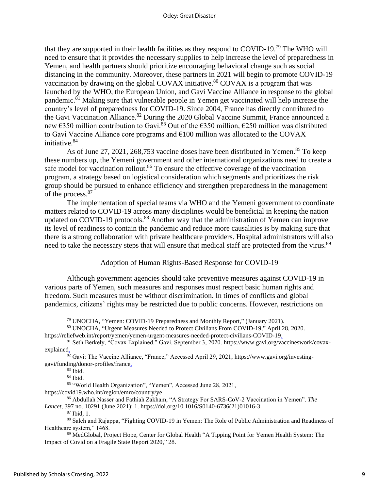that they are supported in their health facilities as they respond to COVID-19.<sup>79</sup> The WHO will need to ensure that it provides the necessary supplies to help increase the level of preparedness in Yemen, and health partners should prioritize encouraging behavioral change such as social distancing in the community. Moreover, these partners in 2021 will begin to promote COVID-19 vaccination by drawing on the global COVAX initiative.<sup>80</sup> COVAX is a program that was launched by the WHO, the European Union, and Gavi Vaccine Alliance in response to the global pandemic.<sup>81</sup> Making sure that vulnerable people in Yemen get vaccinated will help increase the country's level of preparedness for COVID-19. Since 2004, France has directly contributed to the Gavi Vaccination Alliance.<sup>82</sup> During the 2020 Global Vaccine Summit, France announced a new  $\epsilon$ 350 million contribution to Gavi.<sup>83</sup> Out of the  $\epsilon$ 350 million,  $\epsilon$ 250 million was distributed to Gavi Vaccine Alliance core programs and €100 million was allocated to the COVAX initiative. 84

As of June 27, 2021, 268,753 vaccine doses have been distributed in Yemen.<sup>85</sup> To keep these numbers up, the Yemeni government and other international organizations need to create a safe model for vaccination rollout.<sup>86</sup> To ensure the effective coverage of the vaccination program, a strategy based on logistical consideration which segments and prioritizes the risk group should be pursued to enhance efficiency and strengthen preparedness in the management of the process.<sup>87</sup>

The implementation of special teams via WHO and the Yemeni government to coordinate matters related to COVID-19 across many disciplines would be beneficial in keeping the nation updated on COVID-19 protocols.<sup>88</sup> Another way that the administration of Yemen can improve its level of readiness to contain the pandemic and reduce more causalities is by making sure that there is a strong collaboration with private healthcare providers. Hospital administrators will also need to take the necessary steps that will ensure that medical staff are protected from the virus.<sup>89</sup>

## Adoption of Human Rights-Based Response for COVID-19

Although government agencies should take preventive measures against COVID-19 in various parts of Yemen, such measures and responses must respect basic human rights and freedom. Such measures must be without discrimination. In times of conflicts and global pandemics, citizens' rights may be restricted due to public concerns. However, restrictions on

<sup>85</sup> "World Health Organization", "Yemen", Accessed June 28, 2021,

https://covid19.who.int/region/emro/country/ye

<sup>87</sup> Ibid, 1.

<sup>79</sup> UNOCHA, "Yemen: COVID-19 Preparedness and Monthly Report," (January 2021).

<sup>80</sup> UNOCHA, "Urgent Measures Needed to Protect Civilians From COVID-19," April 28, 2020.

https://reliefweb.int/report/yemen/yemen-urgent-measures-needed-protect-civilians-COVID-19.

<sup>81</sup> Seth Berkely, "Covax Explained." Gavi. September 3, 2020. https://www.gavi.org/vaccineswork/covaxexplained.

<sup>82</sup> Gavi: The Vaccine Alliance, "France," Accessed April 29, 2021, https://www.gavi.org/investinggavi/funding/donor-profiles/france.

 $83$  Ibid.

<sup>84</sup> Ibid.

<sup>86</sup> Abdullah Nasser and Fathiah Zakham, "A Strategy For SARS-CoV-2 Vaccination in Yemen". *The Lancet,* 397 no. 10291 (June 2021): 1. https://doi.org/10.1016/S0140-6736(21)01016-3

<sup>88</sup> Saleh and Rajappa, "Fighting COVID-19 in Yemen: The Role of Public Administration and Readiness of Healthcare system," 1468.

<sup>89</sup> MedGlobal, Project Hope, Center for Global Health "A Tipping Point for Yemen Health System: The Impact of Covid on a Fragile State Report 2020," 28.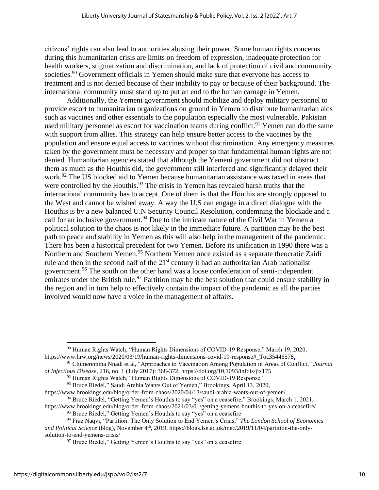citizens' rights can also lead to authorities abusing their power. Some human rights concerns during this humanitarian crisis are limits on freedom of expression, inadequate protection for health workers, stigmatization and discrimination, and lack of protection of civil and community societies.<sup>90</sup> Government officials in Yemen should make sure that everyone has access to treatment and is not denied because of their inability to pay or because of their background. The international community must stand up to put an end to the human carnage in Yemen.

Additionally, the Yemeni government should mobilize and deploy military personnel to provide escort to humanitarian organizations on ground in Yemen to distribute humanitarian aids such as vaccines and other essentials to the population especially the most vulnerable. Pakistan used military personnel as escort for vaccination teams during conflict.<sup>91</sup> Yemen can do the same with support from allies. This strategy can help ensure better access to the vaccines by the population and ensure equal access to vaccines without discrimination. Any emergency measures taken by the government must be necessary and proper so that fundamental human rights are not denied. Humanitarian agencies stated that although the Yemeni government did not obstruct them as much as the Houthis did, the government still interfered and significantly delayed their work. <sup>92</sup> The US blocked aid to Yemen because humanitarian assistance was taxed in areas that were controlled by the Houthis.<sup>93</sup> The crisis in Yemen has revealed harsh truths that the international community has to accept. One of them is that the Houthis are strongly opposed to the West and cannot be wished away. A way the U.S can engage in a direct dialogue with the Houthis is by a new balanced U.N Security Council Resolution, condemning the blockade and a call for an inclusive government.<sup>94</sup> Due to the intricate nature of the Civil War in Yemen a political solution to the chaos is not likely in the immediate future. A partition may be the best path to peace and stability in Yemen as this will also help in the management of the pandemic. There has been a historical precedent for two Yemen. Before its unification in 1990 there was a Northern and Southern Yemen.<sup>95</sup> Northern Yemen once existed as a separate theocratic Zaidi rule and then in the second half of the  $21<sup>st</sup>$  century it had an authoritarian Arab nationalist government.<sup>96</sup> The south on the other hand was a loose confederation of semi-independent emirates under the British rule.<sup>97</sup> Partition may be the best solution that could ensure stability in the region and in turn help to effectively contain the impact of the pandemic as all the parties involved would now have a voice in the management of affairs.

<sup>94</sup> Bruce Riedel, "Getting Yemen's Houthis to say "yes" on a ceasefire," Brookings, March 1, 2021,

<sup>&</sup>lt;sup>90</sup> Human Rights Watch, "Human Rights Dimensions of COVID-19 Response," March 19, 2020, https://www.hrw.org/news/2020/03/19/human-rights-dimensions-covid-19-response#\_Toc35446578.

<sup>91</sup> Chimeremma Nnadi et al, "Approaches to Vaccination Among Population in Areas of Conflict," *Journal of Infectious Disease,* 216, no. 1 (July 2017): 368-372. https://doi.org/10.1093/infdis/jix175

<sup>&</sup>lt;sup>92</sup> Human Rights Watch, "Human Rights Dimensions of COVID-19 Response."

<sup>93</sup> Bruce Riedel," Saudi Arabia Wants Out of Yemen," Brookings, April 13, 2020,

https://www.brookings.edu/blog/order-from-chaos/2020/04/13/saudi-arabia-wants-out-of-yemen/.

https://www.brookings.edu/blog/order-from-chaos/2021/03/01/getting-yemens-houthis-to-yes-on-a-ceasefire/ <sup>95</sup> Bruce Riedel," Getting Yemen's Houthis to say "yes" on a ceasefire

<sup>96</sup> Fraz Naqvi, "Partition: The Only Solution to End Yemen's Crisis," *The London School of Economics*  and Political Science (blog), November 4<sup>th</sup>, 2019. https://blogs.lse.ac.uk/mec/2019/11/04/partition-the-onlysolution-to-end-yemens-crisis/

<sup>&</sup>lt;sup>97</sup> Bruce Riedel," Getting Yemen's Houthis to say "yes" on a ceasefire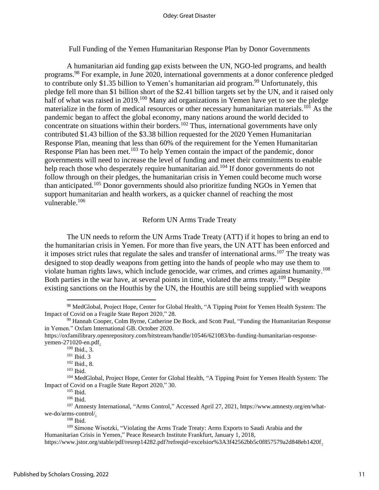Full Funding of the Yemen Humanitarian Response Plan by Donor Governments

A humanitarian aid funding gap exists between the UN, NGO-led programs, and health programs. <sup>98</sup> For example, in June 2020, international governments at a donor conference pledged to contribute only \$1.35 billion to Yemen's humanitarian aid program.<sup>99</sup> Unfortunately, this pledge fell more than \$1 billion short of the \$2.41 billion targets set by the UN, and it raised only half of what was raised in 2019.<sup>100</sup> Many aid organizations in Yemen have yet to see the pledge materialize in the form of medical resources or other necessary humanitarian materials.<sup>101</sup> As the pandemic began to affect the global economy, many nations around the world decided to concentrate on situations within their borders.<sup>102</sup> Thus, international governments have only contributed \$1.43 billion of the \$3.38 billion requested for the 2020 Yemen Humanitarian Response Plan, meaning that less than 60% of the requirement for the Yemen Humanitarian Response Plan has been met.<sup>103</sup> To help Yemen contain the impact of the pandemic, donor governments will need to increase the level of funding and meet their commitments to enable help reach those who desperately require humanitarian aid.<sup>104</sup> If donor governments do not follow through on their pledges, the humanitarian crisis in Yemen could become much worse than anticipated.<sup>105</sup> Donor governments should also prioritize funding NGOs in Yemen that support humanitarian and health workers, as a quicker channel of reaching the most vulnerable.<sup>106</sup>

#### Reform UN Arms Trade Treaty

The UN needs to reform the UN Arms Trade Treaty (ATT) if it hopes to bring an end to the humanitarian crisis in Yemen. For more than five years, the UN ATT has been enforced and it imposes strict rules that regulate the sales and transfer of international arms.<sup>107</sup> The treaty was designed to stop deadly weapons from getting into the hands of people who may use them to violate human rights laws, which include genocide, war crimes, and crimes against humanity.<sup>108</sup> Both parties in the war have, at several points in time, violated the arms treaty.<sup>109</sup> Despite existing sanctions on the Houthis by the UN, the Houthis are still being supplied with weapons

<sup>102</sup> Ibid., 8.

 $106$  Ibid.

<sup>&</sup>lt;sup>98</sup> MedGlobal, Project Hope, Center for Global Health, "A Tipping Point for Yemen Health System: The Impact of Covid on a Fragile State Report 2020," 28.

<sup>99</sup> Hannah Cooper, Colm Byrne, Catherine De Bock, and Scott Paul, "Funding the Humanitarian Response in Yemen." Oxfam International GB. October 2020.

https://oxfamilibrary.openrepository.com/bitstream/handle/10546/621083/bn-funding-humanitarian-responseyemen-271020-en.pdf.

<sup>100</sup> Ibid., 3.

<sup>101</sup> Ibid. 3

 $103$  Ibid.

<sup>&</sup>lt;sup>104</sup> MedGlobal, Project Hope, Center for Global Health, "A Tipping Point for Yemen Health System: The Impact of Covid on a Fragile State Report 2020," 30.

<sup>105</sup> Ibid.

<sup>107</sup> Amnesty International, "Arms Control," Accessed April 27, 2021, https://www.amnesty.org/en/whatwe-do/arms-control/.

<sup>108</sup> Ibid.

<sup>109</sup> Simone Wisotzki, "Violating the Arms Trade Treaty: Arms Exports to Saudi Arabia and the Humanitarian Crisis in Yemen," Peace Research Institute Frankfurt, January 1, 2018,

https://www.jstor.org/stable/pdf/resrep14282.pdf?refreqid=excelsior%3A3f42562bb5c0f857579a2d848eb1420f.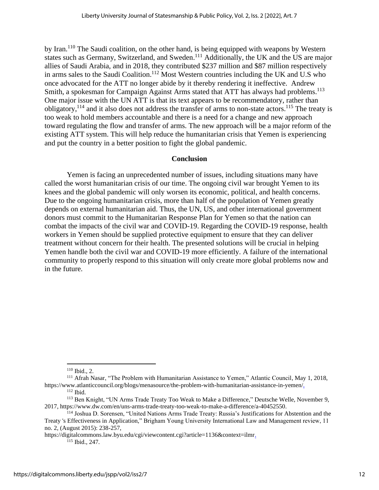by Iran.<sup>110</sup> The Saudi coalition, on the other hand, is being equipped with weapons by Western states such as Germany, Switzerland, and Sweden.<sup>111</sup> Additionally, the UK and the US are major allies of Saudi Arabia, and in 2018, they contributed \$237 million and \$87 million respectively in arms sales to the Saudi Coalition.<sup>112</sup> Most Western countries including the UK and U.S who once advocated for the ATT no longer abide by it thereby rendering it ineffective. Andrew Smith, a spokesman for Campaign Against Arms stated that ATT has always had problems.<sup>113</sup> One major issue with the UN ATT is that its text appears to be recommendatory, rather than obligatory,<sup>114</sup> and it also does not address the transfer of arms to non-state actors.<sup>115</sup> The treaty is too weak to hold members accountable and there is a need for a change and new approach toward regulating the flow and transfer of arms. The new approach will be a major reform of the existing ATT system. This will help reduce the humanitarian crisis that Yemen is experiencing and put the country in a better position to fight the global pandemic.

## **Conclusion**

Yemen is facing an unprecedented number of issues, including situations many have called the worst humanitarian crisis of our time. The ongoing civil war brought Yemen to its knees and the global pandemic will only worsen its economic, political, and health concerns. Due to the ongoing humanitarian crisis, more than half of the population of Yemen greatly depends on external humanitarian aid. Thus, the UN, US, and other international government donors must commit to the Humanitarian Response Plan for Yemen so that the nation can combat the impacts of the civil war and COVID-19. Regarding the COVID-19 response, health workers in Yemen should be supplied protective equipment to ensure that they can deliver treatment without concern for their health. The presented solutions will be crucial in helping Yemen handle both the civil war and COVID-19 more efficiently. A failure of the international community to properly respond to this situation will only create more global problems now and in the future.

<sup>110</sup> Ibid., 2.

<sup>&</sup>lt;sup>111</sup> Afrah Nasar, "The Problem with Humanitarian Assistance to Yemen," Atlantic Council, May 1, 2018, https://www.atlanticcouncil.org/blogs/menasource/the-problem-with-humanitarian-assistance-in-yemen/. <sup>112</sup> Ibid.

<sup>113</sup> Ben Knight, "UN Arms Trade Treaty Too Weak to Make a Difference," Deutsche Welle, November 9, 2017, https://www.dw.com/en/uns-arms-trade-treaty-too-weak-to-make-a-difference/a-40452550.

<sup>114</sup> Joshua D. Sorensen, "United Nations Arms Trade Treaty: Russia's Justifications for Abstention and the Treaty 's Effectiveness in Application," Brigham Young University International Law and Management review, 11 no. 2, (August 2015): 238-257,

https://digitalcommons.law.byu.edu/cgi/viewcontent.cgi?article=1136&context=ilmr. <sup>115</sup> Ibid., 247.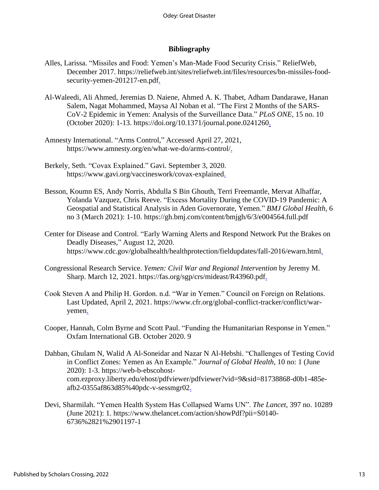## **Bibliography**

- Alles, Larissa. "Missiles and Food: Yemen's Man-Made Food Security Crisis." ReliefWeb, December 2017. https://reliefweb.int/sites/reliefweb.int/files/resources/bn-missiles-foodsecurity-yemen-201217-en.pdf.
- Al-Waleedi, Ali Ahmed, Jeremias D. Naiene, Ahmed A. K. Thabet, Adham Dandarawe, Hanan Salem, Nagat Mohammed, Maysa Al Noban et al. "The First 2 Months of the SARS-CoV-2 Epidemic in Yemen: Analysis of the Surveillance Data." *PLoS ONE*, 15 no. 10 (October 2020): 1-13. https://doi.org/10.1371/journal.pone.0241260.
- Amnesty International. "Arms Control," Accessed April 27, 2021, https://www.amnesty.org/en/what-we-do/arms-control/.
- Berkely, Seth. "Covax Explained." Gavi. September 3, 2020. https://www.gavi.org/vaccineswork/covax-explained.
- Besson, Koumn ES, Andy Norris, Abdulla S Bin Ghouth, Terri Freemantle, Mervat Alhaffar, Yolanda Vazquez, Chris Reeve. "Excess Mortality During the COVID-19 Pandemic: A Geospatial and Statistical Analysis in Aden Governorate, Yemen." *BMJ Global Health,* 6 no 3 (March 2021): 1-10. https://gh.bmj.com/content/bmjgh/6/3/e004564.full.pdf
- Center for Disease and Control. "Early Warning Alerts and Respond Network Put the Brakes on Deadly Diseases," August 12, 2020. https://www.cdc.gov/globalhealth/healthprotection/fieldupdates/fall-2016/ewarn.html.
- Congressional Research Service. *Yemen: Civil War and Regional Intervention* by Jeremy M. Sharp. March 12, 2021. https://fas.org/sgp/crs/mideast/R43960.pdf.
- Cook Steven A and Philip H. Gordon. n.d. "War in Yemen." Council on Foreign on Relations. Last Updated, April 2, 2021. https://www.cfr.org/global-conflict-tracker/conflict/waryemen.
- Cooper, Hannah, Colm Byrne and Scott Paul. "Funding the Humanitarian Response in Yemen." Oxfam International GB. October 2020. 9
- Dahban, Ghulam N, Walid A Al-Soneidar and Nazar N Al-Hebshi. "Challenges of Testing Covid in Conflict Zones: Yemen as An Example." *Journal of Global Health*, 10 no: 1 (June 2020): 1-3. https://web-b-ebscohostcom.ezproxy.liberty.edu/ehost/pdfviewer/pdfviewer?vid=9&sid=81738868-d0b1-485eafb2-0355af863d85%40pdc-v-sessmgr02.
- Devi, Sharmilah. "Yemen Health System Has Collapsed Warns UN". *The Lancet,* 397 no. 10289 (June 2021): 1. https://www.thelancet.com/action/showPdf?pii=S0140- 6736%2821%2901197-1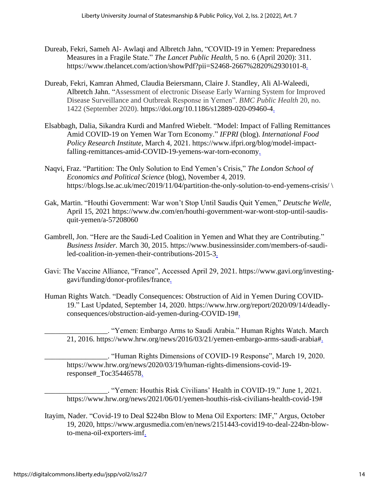- Dureab, Fekri, Sameh Al- Awlaqi and Albretch Jahn, "COVID-19 in Yemen: Preparedness Measures in a Fragile State." *The Lancet Public Health,* 5 no. 6 (April 2020): 311. https://www.thelancet.com/action/showPdf?pii=S2468-2667%2820%2930101-8.
- Dureab, Fekri, Kamran Ahmed, Claudia Beiersmann, Claire J. Standley, Ali Al-Waleedi, Albretch Jahn. "Assessment of electronic Disease Early Warning System for Improved Disease Surveillance and Outbreak Response in Yemen". *BMC Public Health* 20, no. 1422 (September 2020). https://doi.org/10.1186/s12889-020-09460-4.
- Elsabbagh, Dalia, Sikandra Kurdi and Manfred Wiebelt. "Model: Impact of Falling Remittances Amid COVID-19 on Yemen War Torn Economy." *IFPRI* (blog). *International Food Policy Research Institute*, March 4, 2021. https://www.ifpri.org/blog/model-impactfalling-remittances-amid-COVID-19-yemens-war-torn-economy.
- Naqvi, Fraz. "Partition: The Only Solution to End Yemen's Crisis," *The London School of Economics and Political Science* (blog), November 4, 2019. https://blogs.lse.ac.uk/mec/2019/11/04/partition-the-only-solution-to-end-yemens-crisis/ \
- Gak, Martin. "Houthi Government: War won't Stop Until Saudis Quit Yemen," *Deutsche Welle*, April 15, 2021 https://www.dw.com/en/houthi-government-war-wont-stop-until-saudisquit-yemen/a-57208060
- Gambrell, Jon. "Here are the Saudi-Led Coalition in Yemen and What they are Contributing." *Business Insider.* March 30, 2015. https://www.businessinsider.com/members-of-saudiled-coalition-in-yemen-their-contributions-2015-3.
- Gavi: The Vaccine Alliance, "France", Accessed April 29, 2021. https://www.gavi.org/investinggavi/funding/donor-profiles/france.
- Human Rights Watch. "Deadly Consequences: Obstruction of Aid in Yemen During COVID-19." Last Updated, September 14, 2020. https://www.hrw.org/report/2020/09/14/deadlyconsequences/obstruction-aid-yemen-during-COVID-19#.

\_\_\_\_\_\_\_\_\_\_\_\_\_\_\_\_\_. "Yemen: Embargo Arms to Saudi Arabia." Human Rights Watch. March 21, 2016. https://www.hrw.org/news/2016/03/21/yemen-embargo-arms-saudi-arabia#.

\_\_\_\_\_\_\_\_\_\_\_\_\_\_\_\_\_. "Human Rights Dimensions of COVID-19 Response", March 19, 2020. https://www.hrw.org/news/2020/03/19/human-rights-dimensions-covid-19 response#\_Toc35446578.

\_\_\_\_\_\_\_\_\_\_\_\_\_\_\_\_\_. "Yemen: Houthis Risk Civilians' Health in COVID-19." June 1, 2021. https://www.hrw.org/news/2021/06/01/yemen-houthis-risk-civilians-health-covid-19#

Itayim, Nader. "Covid-19 to Deal \$224bn Blow to Mena Oil Exporters: IMF," Argus, October 19, 2020, https://www.argusmedia.com/en/news/2151443-covid19-to-deal-224bn-blowto-mena-oil-exporters-imf.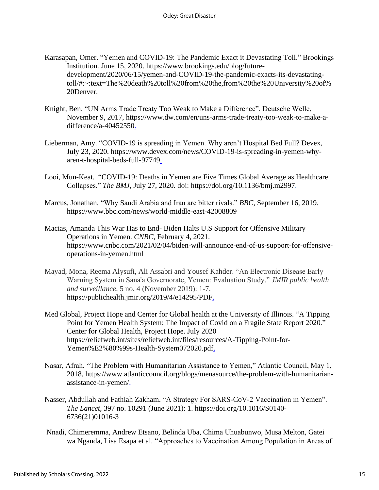- Karasapan, Omer. "Yemen and COVID-19: The Pandemic Exact it Devastating Toll." Brookings Institution. June 15, 2020. https://www.brookings.edu/blog/futuredevelopment/2020/06/15/yemen-and-COVID-19-the-pandemic-exacts-its-devastatingtoll/#:~:text=The%20death%20toll%20from%20the,from%20the%20University%20of% 20Denver.
- Knight, Ben. "UN Arms Trade Treaty Too Weak to Make a Difference", Deutsche Welle, November 9, 2017, https://www.dw.com/en/uns-arms-trade-treaty-too-weak-to-make-adifference/a-40452550.
- Lieberman, Amy. "COVID-19 is spreading in Yemen. Why aren't Hospital Bed Full? Devex, July 23, 2020. https://www.devex.com/news/COVID-19-is-spreading-in-yemen-whyaren-t-hospital-beds-full-97749.
- Looi, Mun-Keat. "COVID-19: Deaths in Yemen are Five Times Global Average as Healthcare Collapses." *The BMJ*, July 27, 2020. doi: https://doi.org/10.1136/bmj.m2997.
- Marcus, Jonathan. "Why Saudi Arabia and Iran are bitter rivals." *BBC*, September 16, 2019. https://www.bbc.com/news/world-middle-east-42008809
- Macias, Amanda This War Has to End- Biden Halts U.S Support for Offensive Military Operations in Yemen. *CNBC*, February 4, 2021. https://www.cnbc.com/2021/02/04/biden-will-announce-end-of-us-support-for-offensiveoperations-in-yemen.html
- Mayad, Mona, Reema Alysufi, Ali Assabri and Yousef Kahder. "An Electronic Disease Early Warning System in Sana'a Governorate, Yemen: Evaluation Study." *JMIR public health and surveillance*, 5 no. 4 (November 2019): 1-7. https://publichealth.jmir.org/2019/4/e14295/PDF.
- Med Global, Project Hope and Center for Global health at the University of Illinois. "A Tipping Point for Yemen Health System: The Impact of Covid on a Fragile State Report 2020." Center for Global Health, Project Hope. July 2020 https://reliefweb.int/sites/reliefweb.int/files/resources/A-Tipping-Point-for-Yemen%E2%80%99s-Health-System072020.pdf.
- Nasar, Afrah. "The Problem with Humanitarian Assistance to Yemen," Atlantic Council, May 1, 2018, https://www.atlanticcouncil.org/blogs/menasource/the-problem-with-humanitarianassistance-in-yemen/.
- Nasser, Abdullah and Fathiah Zakham. "A Strategy For SARS-CoV-2 Vaccination in Yemen". *The Lancet,* 397 no. 10291 (June 2021): 1. https://doi.org/10.1016/S0140- 6736(21)01016-3
- Nnadi, Chimeremma, Andrew Etsano, Belinda Uba, Chima Uhuabunwo, Musa Melton, Gatei wa Nganda, Lisa Esapa et al. "Approaches to Vaccination Among Population in Areas of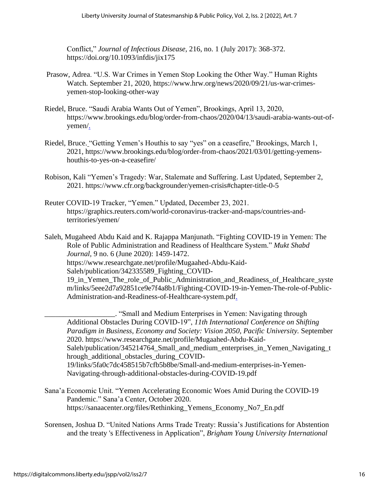Conflict," *Journal of Infectious Disease,* 216, no. 1 (July 2017): 368-372. https://doi.org/10.1093/infdis/jix175

- Prasow, Adrea. "U.S. War Crimes in Yemen Stop Looking the Other Way." Human Rights Watch. September 21, 2020, https://www.hrw.org/news/2020/09/21/us-war-crimesyemen-stop-looking-other-way
- Riedel, Bruce. "Saudi Arabia Wants Out of Yemen", Brookings, April 13, 2020, https://www.brookings.edu/blog/order-from-chaos/2020/04/13/saudi-arabia-wants-out-ofyemen/.
- Riedel, Bruce. "Getting Yemen's Houthis to say "yes" on a ceasefire," Brookings, March 1, 2021, https://www.brookings.edu/blog/order-from-chaos/2021/03/01/getting-yemenshouthis-to-yes-on-a-ceasefire/
- Robison, Kali "Yemen's Tragedy: War, Stalemate and Suffering. Last Updated, September 2, 2021. https://www.cfr.org/backgrounder/yemen-crisis#chapter-title-0-5
- Reuter COVID-19 Tracker, "Yemen." Updated, December 23, 2021. https://graphics.reuters.com/world-coronavirus-tracker-and-maps/countries-andterritories/yemen/

Saleh, Mugaheed Abdu Kaid and K. Rajappa Manjunath. "Fighting COVID-19 in Yemen: The Role of Public Administration and Readiness of Healthcare System." *Mukt Shabd Journal,* 9 no. 6 (June 2020): 1459-1472. https://www.researchgate.net/profile/Mugaahed-Abdu-Kaid-Saleh/publication/342335589\_Fighting\_COVID-19 in Yemen The role of Public Administration and Readiness of Healthcare syste m/links/5eee2d7a92851ce9e7f4a8b1/Fighting-COVID-19-in-Yemen-The-role-of-Public-Administration-and-Readiness-of-Healthcare-system.pdf.

\_\_\_\_\_\_\_\_\_\_\_\_\_\_\_\_\_\_\_. "Small and Medium Enterprises in Yemen: Navigating through Additional Obstacles During COVID-19", *11th International Conference on Shifting Paradigm in Business, Economy and Society: Vision 2050, Pacific University.* September 2020. https://www.researchgate.net/profile/Mugaahed-Abdu-Kaid-Saleh/publication/345214764 Small and medium enterprises in Yemen Navigating t hrough\_additional\_obstacles\_during\_COVID-19/links/5fa0c7dc458515b7cfb5b8be/Small-and-medium-enterprises-in-Yemen-Navigating-through-additional-obstacles-during-COVID-19.pdf

- Sana'a Economic Unit. "Yemen Accelerating Economic Woes Amid During the COVID-19 Pandemic." Sana'a Center, October 2020. https://sanaacenter.org/files/Rethinking\_Yemens\_Economy\_No7\_En.pdf
- Sorensen, Joshua D. "United Nations Arms Trade Treaty: Russia's Justifications for Abstention and the treaty 's Effectiveness in Application", *Brigham Young University International*